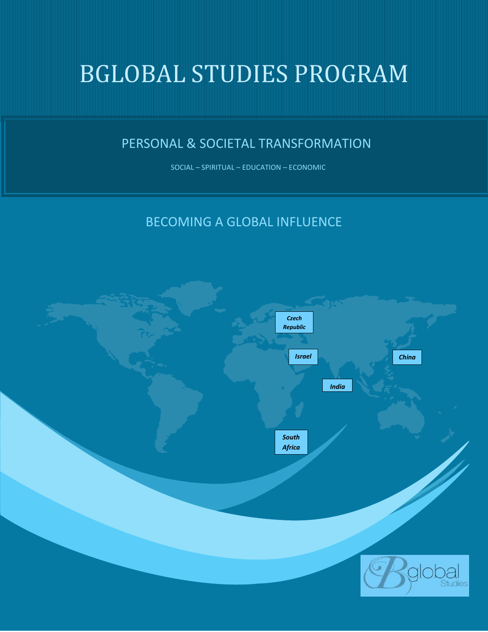# BGLOBAL STUDIES PROGRAM

# PERSONAL & SOCIETAL TRANSFORMATION

SOCIAL – SPIRITUAL – EDUCATION – ECONOMIC

# BECOMING A GLOBAL INFLUENCE

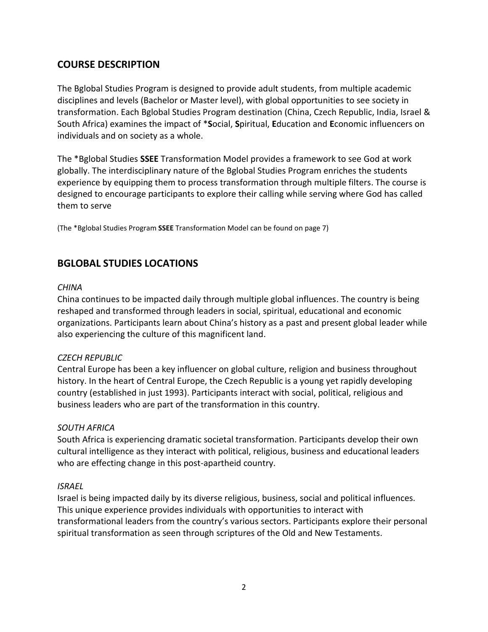### **COURSE DESCRIPTION**

The Bglobal Studies Program is designed to provide adult students, from multiple academic disciplines and levels (Bachelor or Master level), with global opportunities to see society in transformation. Each Bglobal Studies Program destination (China, Czech Republic, India, Israel & South Africa) examines the impact of \***S**ocial, **S**piritual, **E**ducation and **E**conomic influencers on individuals and on society as a whole.

The \*Bglobal Studies **SSEE** Transformation Model provides a framework to see God at work globally. The interdisciplinary nature of the Bglobal Studies Program enriches the students experience by equipping them to process transformation through multiple filters. The course is designed to encourage participants to explore their calling while serving where God has called them to serve

(The \*Bglobal Studies Program **SSEE** Transformation Model can be found on page 7)

### **BGLOBAL STUDIES LOCATIONS**

#### *CHINA*

China continues to be impacted daily through multiple global influences. The country is being reshaped and transformed through leaders in social, spiritual, educational and economic organizations. Participants learn about China's history as a past and present global leader while also experiencing the culture of this magnificent land.

#### *CZECH REPUBLIC*

Central Europe has been a key influencer on global culture, religion and business throughout history. In the heart of Central Europe, the Czech Republic is a young yet rapidly developing country (established in just 1993). Participants interact with social, political, religious and business leaders who are part of the transformation in this country.

#### *SOUTH AFRICA*

South Africa is experiencing dramatic societal transformation. Participants develop their own cultural intelligence as they interact with political, religious, business and educational leaders who are effecting change in this post-apartheid country.

#### *ISRAEL*

Israel is being impacted daily by its diverse religious, business, social and political influences. This unique experience provides individuals with opportunities to interact with transformational leaders from the country's various sectors. Participants explore their personal spiritual transformation as seen through scriptures of the Old and New Testaments.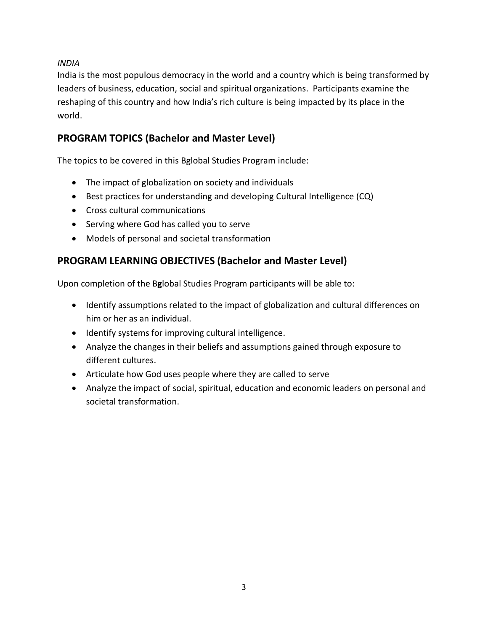*INDIA* 

India is the most populous democracy in the world and a country which is being transformed by leaders of business, education, social and spiritual organizations. Participants examine the reshaping of this country and how India's rich culture is being impacted by its place in the world.

# **PROGRAM TOPICS (Bachelor and Master Level)**

The topics to be covered in this Bglobal Studies Program include:

- The impact of globalization on society and individuals
- Best practices for understanding and developing Cultural Intelligence (CQ)
- Cross cultural communications
- Serving where God has called you to serve
- Models of personal and societal transformation

### **PROGRAM LEARNING OBJECTIVES (Bachelor and Master Level)**

Upon completion of the B**g**lobal Studies Program participants will be able to:

- Identify assumptions related to the impact of globalization and cultural differences on him or her as an individual.
- Identify systems for improving cultural intelligence.
- Analyze the changes in their beliefs and assumptions gained through exposure to different cultures.
- Articulate how God uses people where they are called to serve
- Analyze the impact of social, spiritual, education and economic leaders on personal and societal transformation.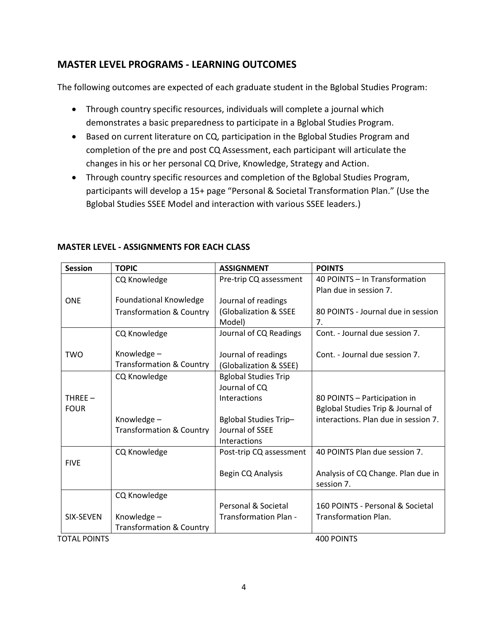### **MASTER LEVEL PROGRAMS - LEARNING OUTCOMES**

The following outcomes are expected of each graduate student in the Bglobal Studies Program:

- Through country specific resources, individuals will complete a journal which demonstrates a basic preparedness to participate in a Bglobal Studies Program.
- Based on current literature on CQ, participation in the Bglobal Studies Program and completion of the pre and post CQ Assessment, each participant will articulate the changes in his or her personal CQ Drive, Knowledge, Strategy and Action.
- Through country specific resources and completion of the Bglobal Studies Program, participants will develop a 15+ page "Personal & Societal Transformation Plan." (Use the Bglobal Studies SSEE Model and interaction with various SSEE leaders.)

| <b>Session</b>      | <b>TOPIC</b>                        | <b>ASSIGNMENT</b>            | <b>POINTS</b>                        |
|---------------------|-------------------------------------|------------------------------|--------------------------------------|
|                     | CQ Knowledge                        | Pre-trip CQ assessment       | 40 POINTS - In Transformation        |
|                     |                                     |                              | Plan due in session 7.               |
| <b>ONE</b>          | <b>Foundational Knowledge</b>       | Journal of readings          |                                      |
|                     | <b>Transformation &amp; Country</b> | (Globalization & SSEE        | 80 POINTS - Journal due in session   |
|                     |                                     | Model)                       | 7.                                   |
|                     | CQ Knowledge                        | Journal of CQ Readings       | Cont. - Journal due session 7.       |
|                     |                                     |                              |                                      |
| <b>TWO</b>          | Knowledge-                          | Journal of readings          | Cont. - Journal due session 7.       |
|                     | <b>Transformation &amp; Country</b> | (Globalization & SSEE)       |                                      |
|                     | CQ Knowledge                        | <b>Bglobal Studies Trip</b>  |                                      |
|                     |                                     | Journal of CQ                |                                      |
| $THREE -$           |                                     | Interactions                 | 80 POINTS - Participation in         |
| <b>FOUR</b>         |                                     |                              | Bglobal Studies Trip & Journal of    |
|                     | Knowledge-                          | <b>Bglobal Studies Trip-</b> | interactions. Plan due in session 7. |
|                     | <b>Transformation &amp; Country</b> | Journal of SSEE              |                                      |
|                     |                                     | Interactions                 |                                      |
|                     | CQ Knowledge                        | Post-trip CQ assessment      | 40 POINTS Plan due session 7.        |
| <b>FIVE</b>         |                                     |                              |                                      |
|                     |                                     | Begin CQ Analysis            | Analysis of CQ Change. Plan due in   |
|                     |                                     |                              | session 7.                           |
|                     | CQ Knowledge                        |                              |                                      |
|                     |                                     | Personal & Societal          | 160 POINTS - Personal & Societal     |
| SIX-SEVEN           | Knowledge-                          | <b>Transformation Plan -</b> | <b>Transformation Plan.</b>          |
|                     | <b>Transformation &amp; Country</b> |                              |                                      |
| <b>TOTAL POINTS</b> |                                     |                              | 400 POINTS                           |

### **MASTER LEVEL - ASSIGNMENTS FOR EACH CLASS**

4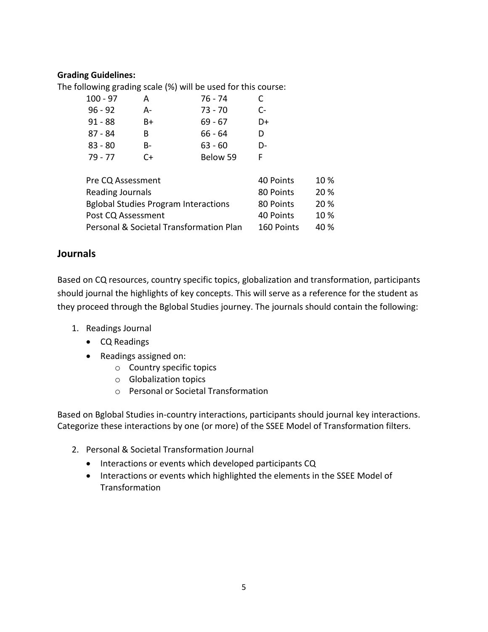#### **Grading Guidelines:**

The following grading scale (%) will be used for this course:

| 100 - 97  | А  | 76 - 74   | C  |
|-----------|----|-----------|----|
| $96 - 92$ | А- | 73 - 70   | C- |
| $91 - 88$ | B+ | $69 - 67$ | D+ |
| 87 - 84   | B  | 66 - 64   | D  |
| $83 - 80$ | B- | $63 - 60$ | D- |
| 79 - 77   | C+ | Below 59  | F  |

| Pre CQ Assessment                           | 40 Points  | $10\%$ |
|---------------------------------------------|------------|--------|
| <b>Reading Journals</b>                     | 80 Points  | 20 %   |
| <b>Bglobal Studies Program Interactions</b> | 80 Points  | 20 %   |
| Post CQ Assessment                          | 40 Points  | $10\%$ |
| Personal & Societal Transformation Plan     | 160 Points | 40 %   |

### **Journals**

Based on CQ resources, country specific topics, globalization and transformation, participants should journal the highlights of key concepts. This will serve as a reference for the student as they proceed through the Bglobal Studies journey. The journals should contain the following:

- 1. Readings Journal
	- CQ Readings
	- Readings assigned on:
		- o Country specific topics
		- o Globalization topics
		- o Personal or Societal Transformation

Based on Bglobal Studies in-country interactions, participants should journal key interactions. Categorize these interactions by one (or more) of the SSEE Model of Transformation filters.

- 2. Personal & Societal Transformation Journal
	- Interactions or events which developed participants CQ
	- Interactions or events which highlighted the elements in the SSEE Model of **Transformation**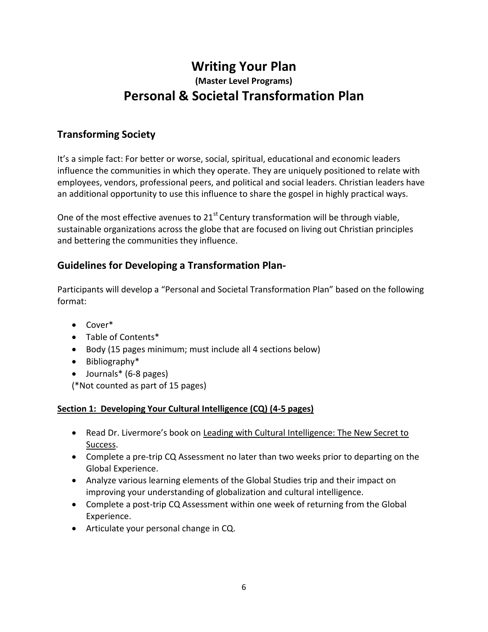# **Writing Your Plan (Master Level Programs) Personal & Societal Transformation Plan**

### **Transforming Society**

It's a simple fact: For better or worse, social, spiritual, educational and economic leaders influence the communities in which they operate. They are uniquely positioned to relate with employees, vendors, professional peers, and political and social leaders. Christian leaders have an additional opportunity to use this influence to share the gospel in highly practical ways.

One of the most effective avenues to  $21<sup>st</sup>$  Century transformation will be through viable, sustainable organizations across the globe that are focused on living out Christian principles and bettering the communities they influence.

### **Guidelines for Developing a Transformation Plan-**

Participants will develop a "Personal and Societal Transformation Plan" based on the following format:

- Cover\*
- Table of Contents\*
- Body (15 pages minimum; must include all 4 sections below)
- Bibliography\*
- Journals\* (6-8 pages)

(\*Not counted as part of 15 pages)

#### **Section 1: Developing Your Cultural Intelligence (CQ) (4-5 pages)**

- Read Dr. Livermore's book on Leading with Cultural Intelligence: The New Secret to Success.
- Complete a pre-trip CQ Assessment no later than two weeks prior to departing on the Global Experience.
- Analyze various learning elements of the Global Studies trip and their impact on improving your understanding of globalization and cultural intelligence.
- Complete a post-trip CQ Assessment within one week of returning from the Global Experience.
- Articulate your personal change in CQ.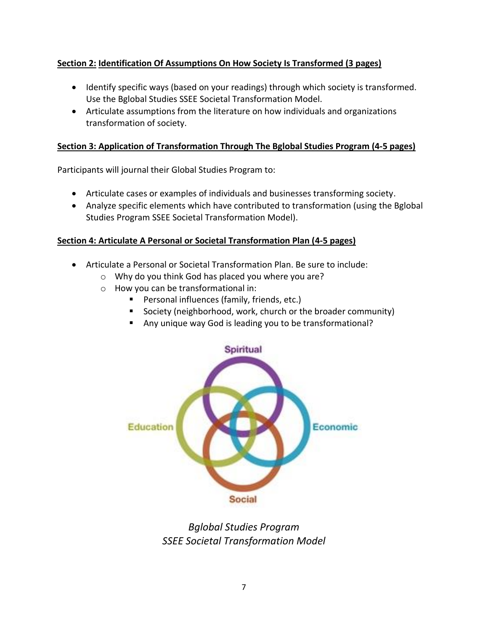### **Section 2: Identification Of Assumptions On How Society Is Transformed (3 pages)**

- Identify specific ways (based on your readings) through which society is transformed. Use the Bglobal Studies SSEE Societal Transformation Model.
- Articulate assumptions from the literature on how individuals and organizations transformation of society.

### **Section 3: Application of Transformation Through The Bglobal Studies Program (4-5 pages)**

Participants will journal their Global Studies Program to:

- Articulate cases or examples of individuals and businesses transforming society.
- Analyze specific elements which have contributed to transformation (using the Bglobal Studies Program SSEE Societal Transformation Model).

### **Section 4: Articulate A Personal or Societal Transformation Plan (4-5 pages)**

- Articulate a Personal or Societal Transformation Plan. Be sure to include:
	- o Why do you think God has placed you where you are?
	- o How you can be transformational in:
		- **Personal influences (family, friends, etc.)**
		- Society (neighborhood, work, church or the broader community)
		- Any unique way God is leading you to be transformational?



# *Bglobal Studies Program SSEE Societal Transformation Model*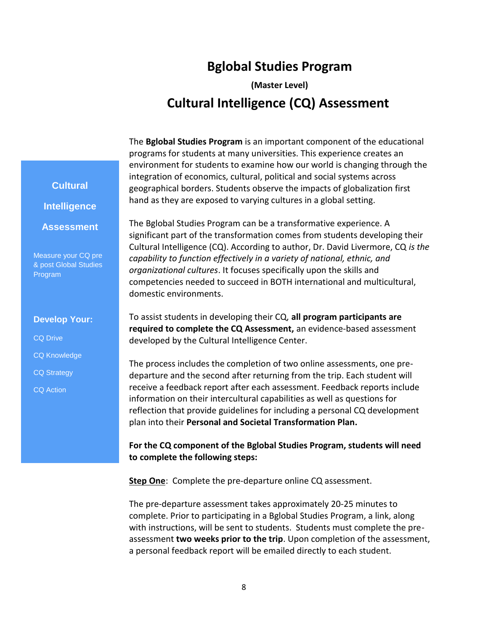# **Bglobal Studies Program**

**(Master Level) Cultural Intelligence (CQ) Assessment**

The **Bglobal Studies Program** is an important component of the educational programs for students at many universities. This experience creates an environment for students to examine how our world is changing through the integration of economics, cultural, political and social systems across geographical borders. Students observe the impacts of globalization first hand as they are exposed to varying cultures in a global setting.

The Bglobal Studies Program can be a transformative experience. A significant part of the transformation comes from students developing their Cultural Intelligence (CQ). According to author, Dr. David Livermore, CQ *is the capability to function effectively in a variety of national, ethnic, and organizational cultures*. It focuses specifically upon the skills and competencies needed to succeed in BOTH international and multicultural, domestic environments.

To assist students in developing their CQ, **all program participants are required to complete the CQ Assessment,** an evidence-based assessment developed by the Cultural Intelligence Center.

The process includes the completion of two online assessments, one predeparture and the second after returning from the trip. Each student will receive a feedback report after each assessment. Feedback reports include information on their intercultural capabilities as well as questions for reflection that provide guidelines for including a personal CQ development plan into their **Personal and Societal Transformation Plan.**

**For the CQ component of the Bglobal Studies Program, students will need to complete the following steps:**

**Step One**: Complete the pre-departure online CQ assessment.

The pre-departure assessment takes approximately 20-25 minutes to complete. Prior to participating in a Bglobal Studies Program, a link, along with instructions, will be sent to students. Students must complete the preassessment **two weeks prior to the trip**. Upon completion of the assessment, a personal feedback report will be emailed directly to each student.

**Cultural Intelligence**

**Assessment**

Measure your CQ pre & post Global Studies Program

#### **Develop Your:**

CQ Drive

- CQ Knowledge
- CQ Strategy
- CQ Action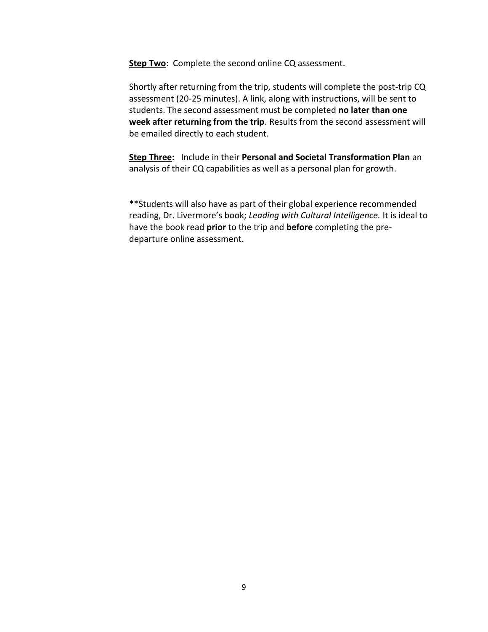**Step Two**: Complete the second online CQ assessment.

Shortly after returning from the trip, students will complete the post-trip CQ assessment (20-25 minutes). A link, along with instructions, will be sent to students. The second assessment must be completed **no later than one week after returning from the trip**. Results from the second assessment will be emailed directly to each student.

**Step Three:** Include in their **Personal and Societal Transformation Plan** an analysis of their CQ capabilities as well as a personal plan for growth.

\*\*Students will also have as part of their global experience recommended reading, Dr. Livermore's book; *Leading with Cultural Intelligence.* It is ideal to have the book read **prior** to the trip and **before** completing the predeparture online assessment.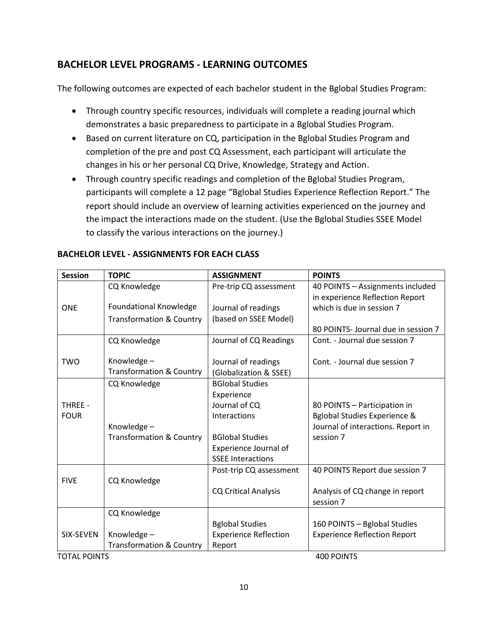### **BACHELOR LEVEL PROGRAMS - LEARNING OUTCOMES**

The following outcomes are expected of each bachelor student in the Bglobal Studies Program:

- Through country specific resources, individuals will complete a reading journal which demonstrates a basic preparedness to participate in a Bglobal Studies Program.
- Based on current literature on CQ, participation in the Bglobal Studies Program and completion of the pre and post CQ Assessment, each participant will articulate the changes in his or her personal CQ Drive, Knowledge, Strategy and Action.
- Through country specific readings and completion of the Bglobal Studies Program, participants will complete a 12 page "Bglobal Studies Experience Reflection Report." The report should include an overview of learning activities experienced on the journey and the impact the interactions made on the student. (Use the Bglobal Studies SSEE Model to classify the various interactions on the journey.)

| <b>Session</b>                           | <b>TOPIC</b>                        | <b>ASSIGNMENT</b>            | <b>POINTS</b>                           |
|------------------------------------------|-------------------------------------|------------------------------|-----------------------------------------|
|                                          | CQ Knowledge                        | Pre-trip CQ assessment       | 40 POINTS - Assignments included        |
|                                          |                                     |                              | in experience Reflection Report         |
| <b>ONE</b>                               | <b>Foundational Knowledge</b>       | Journal of readings          | which is due in session 7               |
|                                          | <b>Transformation &amp; Country</b> | (based on SSEE Model)        |                                         |
|                                          |                                     |                              | 80 POINTS- Journal due in session 7     |
|                                          | CQ Knowledge                        | Journal of CQ Readings       | Cont. - Journal due session 7           |
|                                          |                                     |                              |                                         |
| <b>TWO</b>                               | Knowledge-                          | Journal of readings          | Cont. - Journal due session 7           |
|                                          | <b>Transformation &amp; Country</b> | (Globalization & SSEE)       |                                         |
|                                          | CQ Knowledge                        | <b>BGlobal Studies</b>       |                                         |
|                                          |                                     | Experience                   |                                         |
| THREE -                                  |                                     | Journal of CQ                | 80 POINTS - Participation in            |
| <b>FOUR</b>                              |                                     | Interactions                 | <b>Bglobal Studies Experience &amp;</b> |
|                                          | Knowledge-                          |                              | Journal of interactions. Report in      |
|                                          | <b>Transformation &amp; Country</b> | <b>BGlobal Studies</b>       | session 7                               |
|                                          |                                     | Experience Journal of        |                                         |
|                                          |                                     | <b>SSEE Interactions</b>     |                                         |
|                                          |                                     | Post-trip CQ assessment      | 40 POINTS Report due session 7          |
| <b>FIVE</b>                              | CQ Knowledge                        |                              |                                         |
|                                          |                                     | <b>CQ Critical Analysis</b>  | Analysis of CQ change in report         |
|                                          |                                     |                              | session 7                               |
|                                          | CQ Knowledge                        |                              |                                         |
|                                          |                                     | <b>Bglobal Studies</b>       | 160 POINTS - Bglobal Studies            |
| SIX-SEVEN                                | Knowledge-                          | <b>Experience Reflection</b> | <b>Experience Reflection Report</b>     |
|                                          | <b>Transformation &amp; Country</b> | Report                       |                                         |
| <b>400 POINTS</b><br><b>TOTAL POINTS</b> |                                     |                              |                                         |

### **BACHELOR LEVEL - ASSIGNMENTS FOR EACH CLASS**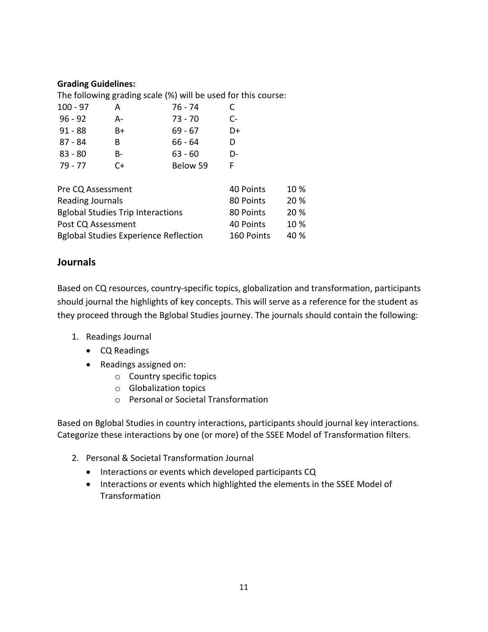#### **Grading Guidelines:**

The following grading scale (%) will be used for this course: 100 - 97 A 76 - 74 C 96 - 92 A- 73 - 70 C-91 - 88 B+ 69 - 67 D+ 87 - 84 B 66 - 64 D 83 - 80 B- 63 - 60 D-79 - 77 C+ Below 59 F

| Pre CQ Assessment                            | 40 Points  | $10\%$ |
|----------------------------------------------|------------|--------|
| Reading Journals                             | 80 Points  | 20%    |
| <b>Bglobal Studies Trip Interactions</b>     | 80 Points  | 20%    |
| Post CQ Assessment                           | 40 Points  | $10\%$ |
| <b>Bglobal Studies Experience Reflection</b> | 160 Points | 40 %   |

### **Journals**

Based on CQ resources, country-specific topics, globalization and transformation, participants should journal the highlights of key concepts. This will serve as a reference for the student as they proceed through the Bglobal Studies journey. The journals should contain the following:

- 1. Readings Journal
	- CQ Readings
	- Readings assigned on:
		- o Country specific topics
		- o Globalization topics
		- o Personal or Societal Transformation

Based on Bglobal Studies in country interactions, participants should journal key interactions. Categorize these interactions by one (or more) of the SSEE Model of Transformation filters.

- 2. Personal & Societal Transformation Journal
	- Interactions or events which developed participants CQ
	- Interactions or events which highlighted the elements in the SSEE Model of **Transformation**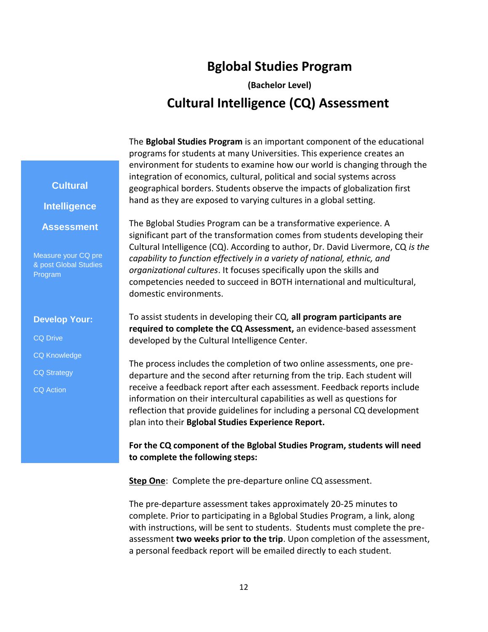# **Bglobal Studies Program**

**(Bachelor Level) Cultural Intelligence (CQ) Assessment**

The **Bglobal Studies Program** is an important component of the educational programs for students at many Universities. This experience creates an environment for students to examine how our world is changing through the integration of economics, cultural, political and social systems across geographical borders. Students observe the impacts of globalization first hand as they are exposed to varying cultures in a global setting.

The Bglobal Studies Program can be a transformative experience. A significant part of the transformation comes from students developing their Cultural Intelligence (CQ). According to author, Dr. David Livermore, CQ *is the capability to function effectively in a variety of national, ethnic, and organizational cultures*. It focuses specifically upon the skills and competencies needed to succeed in BOTH international and multicultural, domestic environments.

To assist students in developing their CQ, **all program participants are required to complete the CQ Assessment,** an evidence-based assessment developed by the Cultural Intelligence Center.

The process includes the completion of two online assessments, one predeparture and the second after returning from the trip. Each student will receive a feedback report after each assessment. Feedback reports include information on their intercultural capabilities as well as questions for reflection that provide guidelines for including a personal CQ development plan into their **Bglobal Studies Experience Report.**

**For the CQ component of the Bglobal Studies Program, students will need to complete the following steps:**

**Step One**: Complete the pre-departure online CQ assessment.

The pre-departure assessment takes approximately 20-25 minutes to complete. Prior to participating in a Bglobal Studies Program, a link, along with instructions, will be sent to students. Students must complete the preassessment **two weeks prior to the trip**. Upon completion of the assessment, a personal feedback report will be emailed directly to each student.

# **Cultural Intelligence**

**Assessment**

Measure your CQ pre & post Global Studies Program

#### **Develop Your:**

CQ Drive

- CQ Knowledge
- CQ Strategy
- CQ Action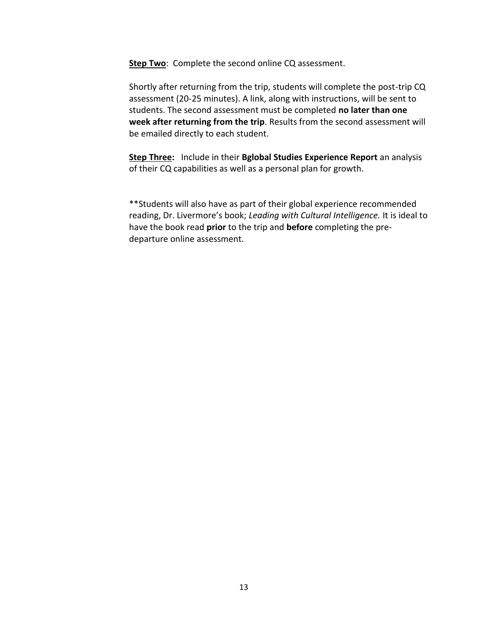**Step Two**: Complete the second online CQ assessment.

Shortly after returning from the trip, students will complete the post-trip CQ assessment (20-25 minutes). A link, along with instructions, will be sent to students. The second assessment must be completed **no later than one week after returning from the trip**. Results from the second assessment will be emailed directly to each student.

**Step Three:** Include in their **Bglobal Studies Experience Report** an analysis of their CQ capabilities as well as a personal plan for growth.

\*\*Students will also have as part of their global experience recommended reading, Dr. Livermore's book; *Leading with Cultural Intelligence.* It is ideal to have the book read **prior** to the trip and **before** completing the predeparture online assessment.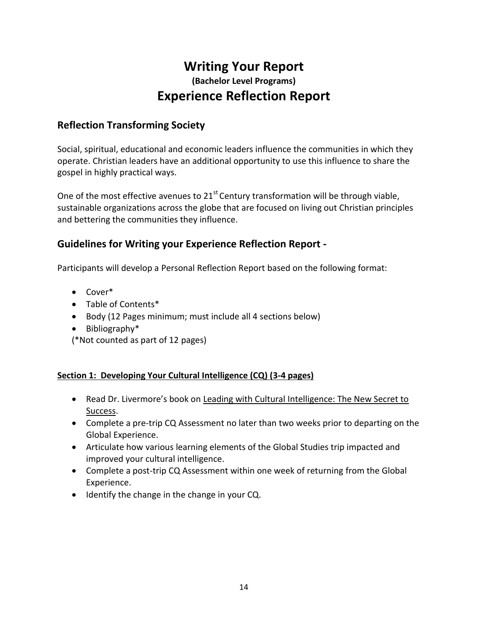# **Writing Your Report (Bachelor Level Programs) Experience Reflection Report**

### **Reflection Transforming Society**

Social, spiritual, educational and economic leaders influence the communities in which they operate. Christian leaders have an additional opportunity to use this influence to share the gospel in highly practical ways.

One of the most effective avenues to  $21<sup>st</sup>$  Century transformation will be through viable, sustainable organizations across the globe that are focused on living out Christian principles and bettering the communities they influence.

### **Guidelines for Writing your Experience Reflection Report -**

Participants will develop a Personal Reflection Report based on the following format:

- Cover\*
- Table of Contents\*
- Body (12 Pages minimum; must include all 4 sections below)
- Bibliography\*
- (\*Not counted as part of 12 pages)

#### **Section 1: Developing Your Cultural Intelligence (CQ) (3-4 pages)**

- Read Dr. Livermore's book on Leading with Cultural Intelligence: The New Secret to Success.
- Complete a pre-trip CQ Assessment no later than two weeks prior to departing on the Global Experience.
- Articulate how various learning elements of the Global Studies trip impacted and improved your cultural intelligence.
- Complete a post-trip CQ Assessment within one week of returning from the Global Experience.
- Identify the change in the change in your CQ.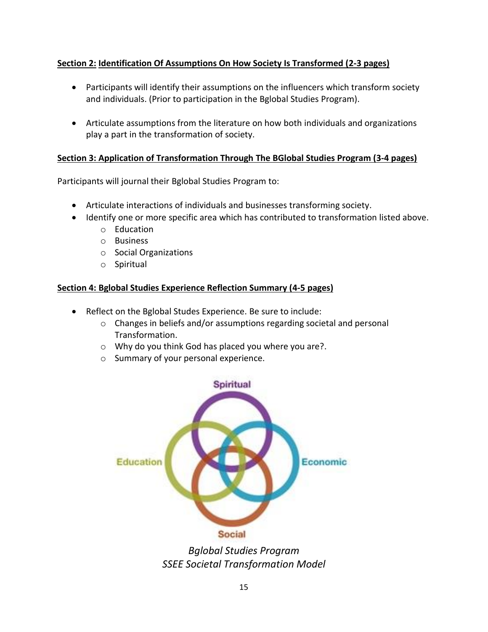### **Section 2: Identification Of Assumptions On How Society Is Transformed (2-3 pages)**

- Participants will identify their assumptions on the influencers which transform society and individuals. (Prior to participation in the Bglobal Studies Program).
- Articulate assumptions from the literature on how both individuals and organizations play a part in the transformation of society.

#### **Section 3: Application of Transformation Through The BGlobal Studies Program (3-4 pages)**

Participants will journal their Bglobal Studies Program to:

- Articulate interactions of individuals and businesses transforming society.
- Identify one or more specific area which has contributed to transformation listed above.
	- o Education
	- o Business
	- o Social Organizations
	- o Spiritual

#### **Section 4: Bglobal Studies Experience Reflection Summary (4-5 pages)**

- Reflect on the Bglobal Studes Experience. Be sure to include:
	- o Changes in beliefs and/or assumptions regarding societal and personal Transformation.
	- o Why do you think God has placed you where you are?.
	- o Summary of your personal experience.



*Bglobal Studies Program SSEE Societal Transformation Model*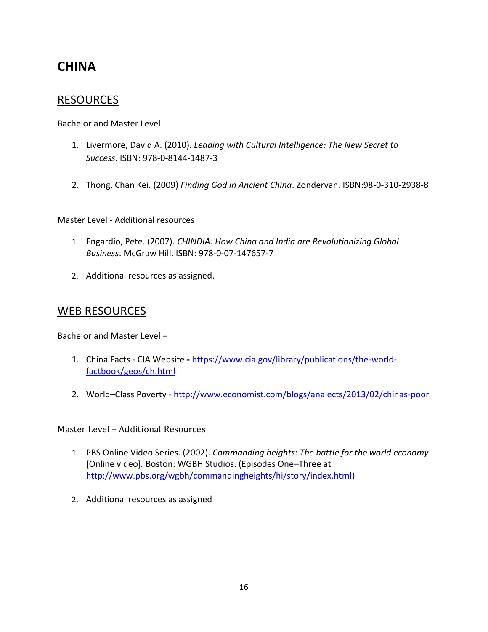# **CHINA**

# RESOURCES

Bachelor and Master Level

- 1. Livermore, David A. (2010). *Leading with Cultural Intelligence: The New Secret to Success*. ISBN: 978-0-8144-1487-3
- 2. Thong, Chan Kei. (2009) *Finding God in Ancient China*. Zondervan. ISBN:98-0-310-2938-8

Master Level - Additional resources

- 1. Engardio, Pete. (2007). *CHINDIA: How China and India are Revolutionizing Global Business*. McGraw Hill. ISBN: 978-0-07-147657-7
- 2. Additional resources as assigned.

### WEB RESOURCES

Bachelor and Master Level –

- 1. China Facts CIA Website **-** [https://www.cia.gov/library/publications/the-world](https://www.cia.gov/library/publications/the-world-factbook/geos/ch.html)[factbook/geos/ch.html](https://www.cia.gov/library/publications/the-world-factbook/geos/ch.html)
- 2. World–Class Poverty <http://www.economist.com/blogs/analects/2013/02/chinas-poor>

Master Level – Additional Resources

- 1. PBS Online Video Series. (2002). *Commanding heights: The battle for the world economy*  [Online video]*.* Boston: WGBH Studios. (Episodes One–Three at http://www.pbs.org/wgbh/commandingheights/hi/story/index.html)
- 2. Additional resources as assigned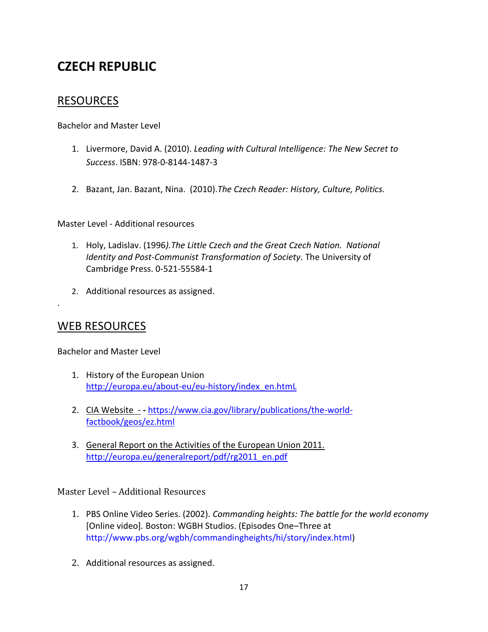# **CZECH REPUBLIC**

# RESOURCES

Bachelor and Master Level

- 1. Livermore, David A. (2010). *Leading with Cultural Intelligence: The New Secret to Success*. ISBN: 978-0-8144-1487-3
- 2. Bazant, Jan. Bazant, Nina. (2010).*The Czech Reader: History, Culture, Politics.*

Master Level - Additional resources

- 1. Holy, Ladislav. (1996*).The Little Czech and the Great Czech Nation. National Identity and Post-Communist Transformation of Society*. The University of Cambridge Press. 0-521-55584-1
- 2. Additional resources as assigned.

# WEB RESOURCES

.

Bachelor and Master Level

- 1. History of the European Union [http://europa.eu/about-eu/eu-history/index\\_en.htmL](http://europa.eu/about-eu/eu-history/index_en.htmL)
- 2. CIA Website **-** [https://www.cia.gov/library/publications/the-world](https://www.cia.gov/library/publications/the-world-factbook/geos/ez.html)[factbook/geos/ez.html](https://www.cia.gov/library/publications/the-world-factbook/geos/ez.html)
- 3. General Report on the Activities of the European Union 2011. [http://europa.eu/generalreport/pdf/rg2011\\_en.pdf](http://europa.eu/generalreport/pdf/rg2011_en.pdf)

Master Level – Additional Resources

- 1. PBS Online Video Series. (2002). *Commanding heights: The battle for the world economy*  [Online video]*.* Boston: WGBH Studios. (Episodes One–Three at http://www.pbs.org/wgbh/commandingheights/hi/story/index.html)
- 2. Additional resources as assigned.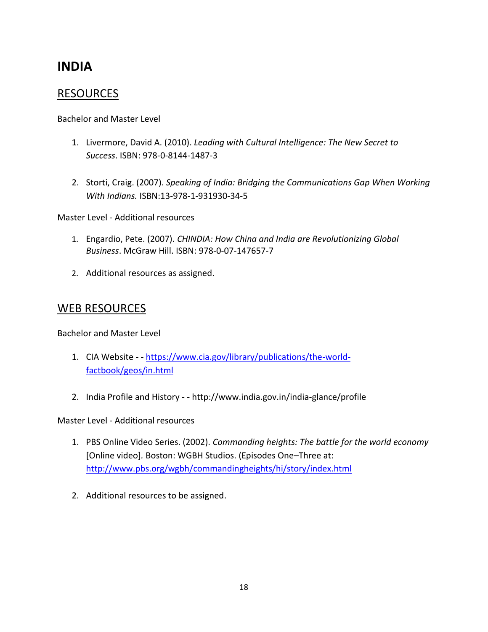# **INDIA**

### RESOURCES

Bachelor and Master Level

- 1. Livermore, David A. (2010). *Leading with Cultural Intelligence: The New Secret to Success*. ISBN: 978-0-8144-1487-3
- 2. Storti, Craig. (2007). *Speaking of India: Bridging the Communications Gap When Working With Indians.* ISBN:13-978-1-931930-34-5

Master Level - Additional resources

- 1. Engardio, Pete. (2007). *CHINDIA: How China and India are Revolutionizing Global Business*. McGraw Hill. ISBN: 978-0-07-147657-7
- 2. Additional resources as assigned.

### WEB RESOURCES

Bachelor and Master Level

- 1. CIA Website **- -** [https://www.cia.gov/library/publications/the-world](https://www.cia.gov/library/publications/the-world-factbook/geos/in.html)[factbook/geos/in.html](https://www.cia.gov/library/publications/the-world-factbook/geos/in.html)
- 2. India Profile and History - http://www.india.gov.in/india-glance/profile

Master Level - Additional resources

- 1. PBS Online Video Series. (2002). *Commanding heights: The battle for the world economy*  [Online video]*.* Boston: WGBH Studios. (Episodes One–Three at: <http://www.pbs.org/wgbh/commandingheights/hi/story/index.html>
- 2. Additional resources to be assigned.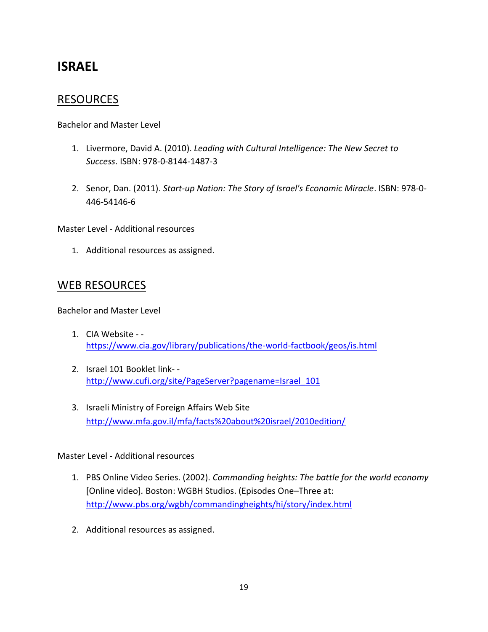# **ISRAEL**

# **RESOURCES**

Bachelor and Master Level

- 1. Livermore, David A. (2010). *Leading with Cultural Intelligence: The New Secret to Success*. ISBN: 978-0-8144-1487-3
- 2. Senor, Dan. (2011). *Start-up Nation: The Story of Israel's Economic Miracle*. ISBN: 978-0- 446-54146-6

Master Level - Additional resources

1. Additional resources as assigned.

# WEB RESOURCES

Bachelor and Master Level

- 1. CIA Website <https://www.cia.gov/library/publications/the-world-factbook/geos/is.html>
- 2. Israel 101 Booklet link- [http://www.cufi.org/site/PageServer?pagename=Israel\\_101](http://www.cufi.org/site/PageServer?pagename=Israel_101)
- 3. Israeli Ministry of Foreign Affairs Web Site <http://www.mfa.gov.il/mfa/facts%20about%20israel/2010edition/>

Master Level - Additional resources

- 1. PBS Online Video Series. (2002). *Commanding heights: The battle for the world economy*  [Online video]*.* Boston: WGBH Studios. (Episodes One–Three at: <http://www.pbs.org/wgbh/commandingheights/hi/story/index.html>
- 2. Additional resources as assigned.